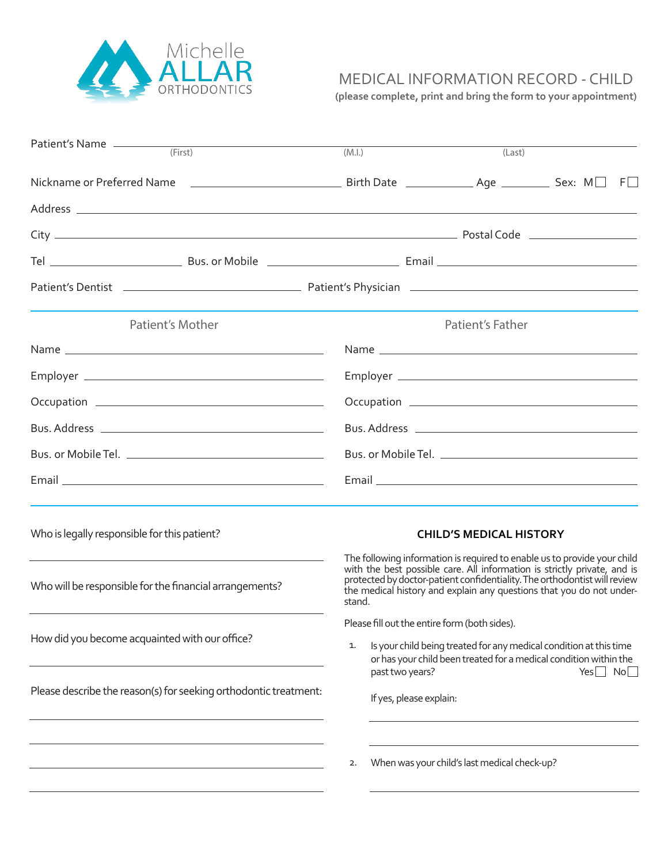

## MEDICAL INFORMATION RECORD - CHILD

**(please complete, print and bring the form to your appointment)**

| Patient's Name<br>(First)                                                                                      | (M.l.)                                                                                                                                                                                                                                                                                                                                                                                                                                                                                                                                   | (Last)                                       |  |     |    |
|----------------------------------------------------------------------------------------------------------------|------------------------------------------------------------------------------------------------------------------------------------------------------------------------------------------------------------------------------------------------------------------------------------------------------------------------------------------------------------------------------------------------------------------------------------------------------------------------------------------------------------------------------------------|----------------------------------------------|--|-----|----|
|                                                                                                                |                                                                                                                                                                                                                                                                                                                                                                                                                                                                                                                                          |                                              |  |     |    |
|                                                                                                                |                                                                                                                                                                                                                                                                                                                                                                                                                                                                                                                                          |                                              |  |     |    |
|                                                                                                                |                                                                                                                                                                                                                                                                                                                                                                                                                                                                                                                                          |                                              |  |     |    |
|                                                                                                                |                                                                                                                                                                                                                                                                                                                                                                                                                                                                                                                                          |                                              |  |     |    |
| Patient's Dentist 2000 Contract Communication Contract Communication Communication Communication Communication |                                                                                                                                                                                                                                                                                                                                                                                                                                                                                                                                          |                                              |  |     |    |
| Patient's Mother                                                                                               |                                                                                                                                                                                                                                                                                                                                                                                                                                                                                                                                          | Patient's Father                             |  |     |    |
|                                                                                                                |                                                                                                                                                                                                                                                                                                                                                                                                                                                                                                                                          |                                              |  |     |    |
|                                                                                                                |                                                                                                                                                                                                                                                                                                                                                                                                                                                                                                                                          |                                              |  |     |    |
|                                                                                                                |                                                                                                                                                                                                                                                                                                                                                                                                                                                                                                                                          |                                              |  |     |    |
|                                                                                                                |                                                                                                                                                                                                                                                                                                                                                                                                                                                                                                                                          |                                              |  |     |    |
|                                                                                                                |                                                                                                                                                                                                                                                                                                                                                                                                                                                                                                                                          |                                              |  |     |    |
|                                                                                                                |                                                                                                                                                                                                                                                                                                                                                                                                                                                                                                                                          |                                              |  |     |    |
| Who is legally responsible for this patient?                                                                   |                                                                                                                                                                                                                                                                                                                                                                                                                                                                                                                                          | <b>CHILD'S MEDICAL HISTORY</b>               |  |     |    |
| Who will be responsible for the financial arrangements?                                                        | The following information is required to enable us to provide your child<br>with the best possible care. All information is strictly private, and is<br>protected by doctor-patient confidentiality. The orthodontist will review<br>the medical history and explain any questions that you do not under-<br>stand.<br>Please fill out the entire form (both sides).<br>Is your child being treated for any medical condition at this time<br>1.<br>or has your child been treated for a medical condition within the<br>past two years? |                                              |  |     |    |
| How did you become acquainted with our office?                                                                 |                                                                                                                                                                                                                                                                                                                                                                                                                                                                                                                                          |                                              |  |     |    |
| Please describe the reason(s) for seeking orthodontic treatment:                                               | If yes, please explain:                                                                                                                                                                                                                                                                                                                                                                                                                                                                                                                  |                                              |  | Yes | No |
|                                                                                                                | 2.                                                                                                                                                                                                                                                                                                                                                                                                                                                                                                                                       | When was your child's last medical check-up? |  |     |    |